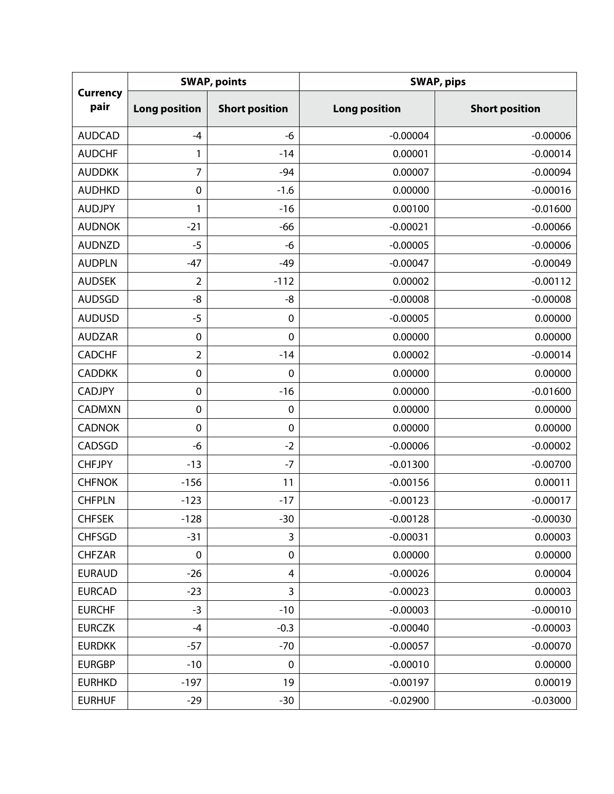| <b>Currency</b><br>pair | <b>SWAP, points</b>  |                       | <b>SWAP, pips</b>    |                       |  |
|-------------------------|----------------------|-----------------------|----------------------|-----------------------|--|
|                         | <b>Long position</b> | <b>Short position</b> | <b>Long position</b> | <b>Short position</b> |  |
| <b>AUDCAD</b>           | $-4$                 | -6                    | $-0.00004$           | $-0.00006$            |  |
| <b>AUDCHF</b>           | 1                    | $-14$                 | 0.00001              | $-0.00014$            |  |
| <b>AUDDKK</b>           | $\overline{7}$       | $-94$                 | 0.00007              | $-0.00094$            |  |
| <b>AUDHKD</b>           | $\boldsymbol{0}$     | $-1.6$                | 0.00000              | $-0.00016$            |  |
| <b>AUDJPY</b>           | 1                    | $-16$                 | 0.00100              | $-0.01600$            |  |
| <b>AUDNOK</b>           | $-21$                | $-66$                 | $-0.00021$           | $-0.00066$            |  |
| <b>AUDNZD</b>           | $-5$                 | -6                    | $-0.00005$           | $-0.00006$            |  |
| <b>AUDPLN</b>           | $-47$                | $-49$                 | $-0.00047$           | $-0.00049$            |  |
| <b>AUDSEK</b>           | $\overline{2}$       | $-112$                | 0.00002              | $-0.00112$            |  |
| <b>AUDSGD</b>           | $-8$                 | -8                    | $-0.00008$           | $-0.00008$            |  |
| <b>AUDUSD</b>           | $-5$                 | $\mathbf 0$           | $-0.00005$           | 0.00000               |  |
| <b>AUDZAR</b>           | $\mathbf 0$          | $\mathbf 0$           | 0.00000              | 0.00000               |  |
| <b>CADCHF</b>           | 2                    | $-14$                 | 0.00002              | $-0.00014$            |  |
| <b>CADDKK</b>           | $\mathbf 0$          | $\mathbf 0$           | 0.00000              | 0.00000               |  |
| <b>CADJPY</b>           | $\mathbf 0$          | $-16$                 | 0.00000              | $-0.01600$            |  |
| <b>CADMXN</b>           | $\mathbf 0$          | $\boldsymbol{0}$      | 0.00000              | 0.00000               |  |
| <b>CADNOK</b>           | $\mathbf 0$          | $\boldsymbol{0}$      | 0.00000              | 0.00000               |  |
| CADSGD                  | -6                   | $-2$                  | $-0.00006$           | $-0.00002$            |  |
| <b>CHFJPY</b>           | $-13$                | $-7$                  | $-0.01300$           | $-0.00700$            |  |
| <b>CHFNOK</b>           | $-156$               | 11                    | $-0.00156$           | 0.00011               |  |
| <b>CHFPLN</b>           | $-123$               | $-17$                 | $-0.00123$           | $-0.00017$            |  |
| <b>CHFSEK</b>           | $-128$               | $-30$                 | $-0.00128$           | $-0.00030$            |  |
| <b>CHFSGD</b>           | $-31$                | 3                     | $-0.00031$           | 0.00003               |  |
| <b>CHFZAR</b>           | $\mathbf 0$          | $\pmb{0}$             | 0.00000              | 0.00000               |  |
| <b>EURAUD</b>           | $-26$                | 4                     | $-0.00026$           | 0.00004               |  |
| <b>EURCAD</b>           | $-23$                | 3                     | $-0.00023$           | 0.00003               |  |
| <b>EURCHF</b>           | $-3$                 | $-10$                 | $-0.00003$           | $-0.00010$            |  |
| <b>EURCZK</b>           | -4                   | $-0.3$                | $-0.00040$           | $-0.00003$            |  |
| <b>EURDKK</b>           | $-57$                | $-70$                 | $-0.00057$           | $-0.00070$            |  |
| <b>EURGBP</b>           | $-10$                | 0                     | $-0.00010$           | 0.00000               |  |
| <b>EURHKD</b>           | $-197$               | 19                    | $-0.00197$           | 0.00019               |  |
| <b>EURHUF</b>           | $-29$                | $-30$                 | $-0.02900$           | $-0.03000$            |  |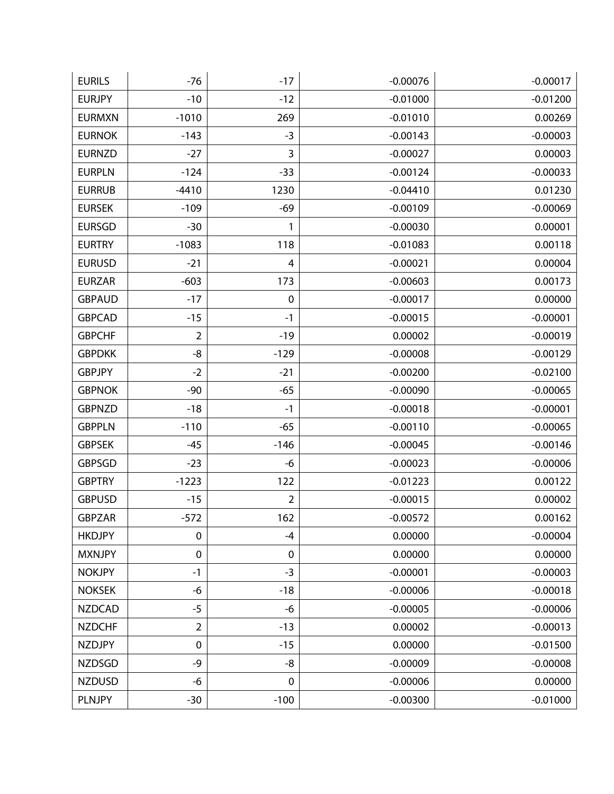| <b>EURILS</b> | $-76$          | $-17$          | $-0.00076$ | $-0.00017$ |
|---------------|----------------|----------------|------------|------------|
| <b>EURJPY</b> | $-10$          | $-12$          | $-0.01000$ | $-0.01200$ |
| <b>EURMXN</b> | $-1010$        | 269            | $-0.01010$ | 0.00269    |
| <b>EURNOK</b> | $-143$         | $-3$           | $-0.00143$ | $-0.00003$ |
| <b>EURNZD</b> | $-27$          | 3              | $-0.00027$ | 0.00003    |
| <b>EURPLN</b> | $-124$         | $-33$          | $-0.00124$ | $-0.00033$ |
| <b>EURRUB</b> | $-4410$        | 1230           | $-0.04410$ | 0.01230    |
| <b>EURSEK</b> | $-109$         | $-69$          | $-0.00109$ | $-0.00069$ |
| <b>EURSGD</b> | $-30$          | 1              | $-0.00030$ | 0.00001    |
| <b>EURTRY</b> | $-1083$        | 118            | $-0.01083$ | 0.00118    |
| <b>EURUSD</b> | $-21$          | 4              | $-0.00021$ | 0.00004    |
| <b>EURZAR</b> | $-603$         | 173            | $-0.00603$ | 0.00173    |
| <b>GBPAUD</b> | $-17$          | $\pmb{0}$      | $-0.00017$ | 0.00000    |
| <b>GBPCAD</b> | $-15$          | $-1$           | $-0.00015$ | $-0.00001$ |
| <b>GBPCHF</b> | $\overline{2}$ | $-19$          | 0.00002    | $-0.00019$ |
| <b>GBPDKK</b> | -8             | $-129$         | $-0.00008$ | $-0.00129$ |
| <b>GBPJPY</b> | $-2$           | $-21$          | $-0.00200$ | $-0.02100$ |
| <b>GBPNOK</b> | $-90$          | $-65$          | $-0.00090$ | $-0.00065$ |
| <b>GBPNZD</b> | $-18$          | $-1$           | $-0.00018$ | $-0.00001$ |
| <b>GBPPLN</b> | $-110$         | $-65$          | $-0.00110$ | $-0.00065$ |
| <b>GBPSEK</b> | $-45$          | $-146$         | $-0.00045$ | $-0.00146$ |
| <b>GBPSGD</b> | $-23$          | -6             | $-0.00023$ | $-0.00006$ |
| <b>GBPTRY</b> | $-1223$        | 122            | $-0.01223$ | 0.00122    |
| <b>GBPUSD</b> | $-15$          | $\overline{2}$ | $-0.00015$ | 0.00002    |
| <b>GBPZAR</b> | $-572$         | 162            | $-0.00572$ | 0.00162    |
| <b>HKDJPY</b> | $\mathbf 0$    | -4             | 0.00000    | $-0.00004$ |
| <b>MXNJPY</b> | $\mathbf 0$    | $\pmb{0}$      | 0.00000    | 0.00000    |
| <b>NOKJPY</b> | $-1$           | $-3$           | $-0.00001$ | $-0.00003$ |
| <b>NOKSEK</b> | -6             | $-18$          | $-0.00006$ | $-0.00018$ |
| <b>NZDCAD</b> | $-5$           | -6             | $-0.00005$ | $-0.00006$ |
| <b>NZDCHF</b> | $\overline{2}$ | $-13$          | 0.00002    | $-0.00013$ |
| <b>NZDJPY</b> | $\pmb{0}$      | $-15$          | 0.00000    | $-0.01500$ |
| <b>NZDSGD</b> | -9             | -8             | $-0.00009$ | $-0.00008$ |
| <b>NZDUSD</b> | -6             | $\pmb{0}$      | $-0.00006$ | 0.00000    |
| <b>PLNJPY</b> | $-30$          | $-100$         | $-0.00300$ | $-0.01000$ |